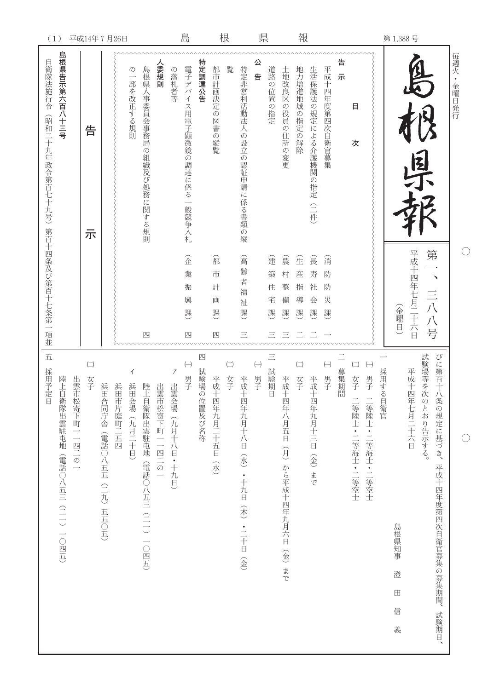| (1)                                                                    | 平成14年7月26日                                        |                            |               |                            |                                      |               |                                                | 島                          |                     |                            | 根                      |                                 | 県                     |                            |                              | 報                                       |                        |                                                      |        |                                                                                                                                     |             |                                    | 第1,388号     |                     |                                                  |           |
|------------------------------------------------------------------------|---------------------------------------------------|----------------------------|---------------|----------------------------|--------------------------------------|---------------|------------------------------------------------|----------------------------|---------------------|----------------------------|------------------------|---------------------------------|-----------------------|----------------------------|------------------------------|-----------------------------------------|------------------------|------------------------------------------------------|--------|-------------------------------------------------------------------------------------------------------------------------------------|-------------|------------------------------------|-------------|---------------------|--------------------------------------------------|-----------|
| 島根県告示第六百八十三号<br>自衛隊法施行令<br>(昭和二十九年政令第百七十九号)第百十四条及び第百十七条第一項並            | 告<br>示                                            |                            |               | $\mathcal{O}$<br>一部を改正する規則 | 島根県人事委員会事務局の組織及び処務に関する規則             | へ委規則          | の落札者等                                          | 電子デバイス用電子顕微鏡の調達に係る一般競争入札   | 特定調達公告              | 都市計画決定の<br>図書の縦覧           | 覧                      | 特定非営利活動法人の設立の認証申請に係る書類の縦        | 公<br>告                | 道路の位置の指定                   | 土地改良区の役員<br>の住所の変更           | 地力増進地域の指定の解除                            | 生活保護法の規定による介護機関の指定(二件) | 平成十四年度第四次自衛官募集                                       | 告<br>示 | 目<br>次                                                                                                                              |             |                                    | 图才          |                     |                                                  | 毎週火·金曜日発行 |
|                                                                        |                                                   |                            |               |                            | 四                                    |               |                                                | 企<br>業<br>振<br>興<br>課<br>四 |                     | 嵞<br>市<br>計<br>画<br>課<br>四 |                        | 含<br>齢<br>者<br>福<br>祉<br>課<br>三 |                       | 建<br>築<br>住<br>宅<br>課<br>三 | 震<br>村<br>整<br>備<br>課<br>三   | 全<br>産<br>指<br>導<br>課                   | 食<br>寿<br>社<br>会<br>課  | 消<br>防<br>防<br>災<br>課                                |        |                                                                                                                                     |             | (金曜日)                              | 平成十四年七月二十六日 | 第<br>三八八号           | $\checkmark$                                     |           |
| 五<br>採用予定<br>出雲市<br>陸上自衛隊出雲駐屯地(電話○八五三(二一)一○四五)<br>松寄下町一一四二の一<br>$\Box$ | $\left(\begin{matrix} -\end{matrix}\right)$<br>女子 | 浜田<br>合同庁舎(電話○八五五(二九)五五○五) | 浜田<br>市片庭町二五四 | イ<br>浜田<br>会場(九月二十日)       | 陸上<br>自衛隊出雲駐屯地<br>(電話○八五三 (二一) 一○四五) | 出雲市松寄下町一一四二の一 | $\overline{\mathcal{T}}$<br>出雲会場 (九月十八日 • 十九日) | $(\!\!-\!\!)$<br>男子        | 四<br>試験場の<br>位置及び名称 | 平成十<br>四年九月二十五日(水)         | $\left( \right)$<br>女子 | 平成<br>十四年九月十八日(水)・十九日(木)・二十日(金) | $(\rightarrow)$<br>男子 | $\equiv$<br>試験期日           | 平成十四年八月五日(月)から平成十四年九月六日(金)まで | $\left(\rightleftharpoons\right)$<br>女子 | 平成<br>十四年九月十三日(金)まで    | $\left( \begin{matrix} - \end{matrix} \right)$<br>男子 | 募集期間   | $\left(\rightleftharpoons\right)$<br>$\left( \begin{matrix} - \end{matrix} \right)$<br>男子<br>女子<br>二等陸士・二等海士・二等空士<br> 等陸士・二等海士・二等空士 | 採用する<br>自衛官 | 島根県知事<br>澄<br>$\boxplus$<br>信<br>義 | 平成十四年七月二十六日 | 試験場等を次<br>のとおり告示する。 | びに第百十八条の規定に基づき、<br>平成十四年度第四次自衛官募集の募集期間、<br>試験期日、 |           |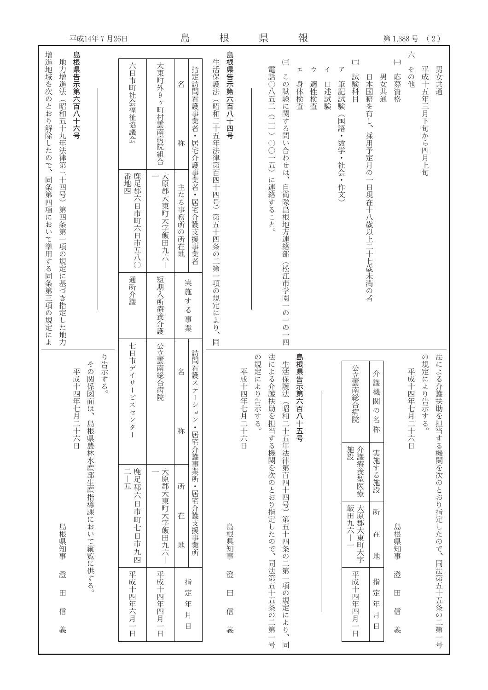| 平成14年7月26日                                     |                                                                      |                    | 島                               |                                                        | 根                                         |             | 県           |                        |                                                 | 報                |           |           |                                         |                                                        |                                              |        |                           | 第1,388号     |                 | (2)                                |
|------------------------------------------------|----------------------------------------------------------------------|--------------------|---------------------------------|--------------------------------------------------------|-------------------------------------------|-------------|-------------|------------------------|-------------------------------------------------|------------------|-----------|-----------|-----------------------------------------|--------------------------------------------------------|----------------------------------------------|--------|---------------------------|-------------|-----------------|------------------------------------|
| 増進地域を次のとおり解除したので、<br>島根県告示第六百八十六号<br>地力増進法     | 六日市町社会福祉協議会                                                          | 大東町外9<br>ヶ町村雲南病院組合 | 名<br>称                          | 指定訪問看護事業者<br>$\bullet$<br>居宅介護事業者·                     | 島根県告示第六百八十四号<br>生活保護法<br>(昭和二十五年法律第百四十四号) |             |             | 電話○八五二(二一)○○一五)        | $(\equiv)$<br>この試験に関する問い合わせは、                   | 工<br>身体検査        | ゥ<br>適性検査 | イ<br>口述試験 | $\overline{f}$<br>筆記試験<br>(国語・数学・社会・作文) | $\left( \begin{matrix} - \end{matrix} \right)$<br>試験科目 | 日本国籍を有し、<br>採用予定月の                           | 男女共通   | $(\rightarrow)$<br>応募資格   | 六<br>その他    | 平成十五年三月下旬から四月上旬 | 男女共通                               |
| (昭和五十九年法律第三十四号)第四条第一項の規定に基づき指定した地力<br>同条第四項におい | 番地四度用市町六日市五八○                                                        | 大原郡大東町大字飯田九六       | 主たる事務所の所在地                      | 居宅介護支援事業者                                              | 第五十四条の二第一                                 |             |             | に連絡すること。               | 自衛隊島根地方連絡部                                      |                  |           |           |                                         |                                                        | $\overline{\phantom{a}}$<br>日現在十八歳以上二十七歳未満の者 |        |                           |             |                 |                                    |
| て準用する同条第三項の規定によ                                | 通所介護                                                                 | 短期入所療養介護           | 実施<br>す<br>$\lesssim$<br>事<br>業 |                                                        | 項の規定により、<br>同                             |             |             |                        | (松江市学園一<br>の一の<br>$\overline{\phantom{a}}$<br>四 |                  |           |           |                                         |                                                        |                                              |        |                           |             |                 |                                    |
| り告示する。<br>その関係図<br>平成十四年七月二十六日                 | 七日市デ<br>$\blacktriangleleft$<br>$\ddot{\mathbf{\tau}}$<br>ービ<br>スセンタ | 公立雲南総合病院           | 名<br>称                          | 訪問看護ステー<br>シ<br>$\exists$<br>$\checkmark$<br>$\bullet$ |                                           | 平成十四年七月二十六日 | の規定により告示する。 | 法による介護                 | 生活保護法                                           | 島根県告示第<br>六百八十五号 |           |           |                                         | 公立雲南総合病院                                               | 介<br>護<br>機<br>関<br>$\mathcal{O}$<br>名<br>称  |        |                           | 平成十四年七月二十六日 | の規定により告示する。     | 法による介護                             |
|                                                |                                                                      |                    | 所                               | 居宅介護事業所·                                               |                                           |             |             |                        |                                                 |                  |           |           |                                         | 施設<br>介護療養型医療                                          | 実施する施設                                       |        |                           |             |                 |                                    |
| 面は、島根県農林水産部生産指導課において縦覧に供する。<br>島根県知事           | 二—五<br>鹿足郡六日市町七日市九四                                                  | 大原郡大東町大字飯田九六       | 在<br>地                          | 居宅介護支援事業所                                              | 島根県知事                                     |             |             | 扶助を担当する機関を次のとおり指定したので、 |                                                 |                  |           |           |                                         | 飯田九六―一                                                 | 地                                            | 所<br>在 | 島根県知事                     |             |                 |                                    |
| 澄<br>$\blacksquare$<br>信<br>義                  | 平成十四年六月一日                                                            | 平成十四年四月一日          | 指<br>定<br>年<br>月<br>$\Box$      |                                                        | 澄<br>田<br>信<br>義                          |             |             | 同法第五十五条の二第一号           | (昭和二十五年法律第百四十四号)第五十四条の二第一項の規定により、<br>同          |                  |           |           |                                         | 平成十四年四月一日                                              | 指<br>定<br>年<br>月<br>日                        |        | 澄<br>$\boxplus$<br>信<br>義 |             |                 | 扶助を担当する機関を次のとおり指定したので、同法第五十五条の二第一号 |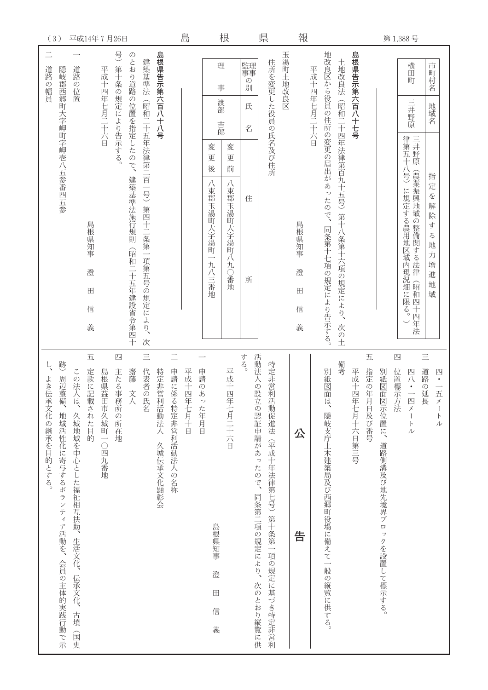| (3)                                                                                                                 | 平成14年7月26日                                                        |                             |                                                  |                               | 島             |                                                                      | 根                                      |                                                 | 県                                           |          | 報                         |             |                                               |                                             |                   |                     |                                        | 第1,388号                                                |                                                 |                                                                               |
|---------------------------------------------------------------------------------------------------------------------|-------------------------------------------------------------------|-----------------------------|--------------------------------------------------|-------------------------------|---------------|----------------------------------------------------------------------|----------------------------------------|-------------------------------------------------|---------------------------------------------|----------|---------------------------|-------------|-----------------------------------------------|---------------------------------------------|-------------------|---------------------|----------------------------------------|--------------------------------------------------------|-------------------------------------------------|-------------------------------------------------------------------------------|
| 道路<br>道路の位置<br><b>4の幅員</b>                                                                                          | 号<br>第十条の規定により告示する。<br>平成十四年七月二十六日                                | のとおり道路の位置を指定したので、           | 島根県告示第六百八十八号<br>建築基準法                            |                               |               | 理<br>事<br>渡部                                                         |                                        | 監理<br>事事<br>つ<br>別<br>氏                         | 住所を変更した役員の氏名及び住所                            | 玉湯町土地改良区 |                           | 平成十四年七月二十六日 |                                               |                                             | 島根県告示第六百八十七号      |                     |                                        | 横田町<br>三井野原                                            |                                                 | 市町村名<br>地域名                                                                   |
| 隠岐郡西郷町大字岬町字岬壱八五参番四五参                                                                                                | 島根県知事<br>澄<br>田<br>信<br>義                                         | 建築基準法施行規則<br>(昭和二十五年建設省令第四十 | (昭和二十五年法律第二百一号)第四十二条第一項第五号の規定により、<br>次           |                               |               | 吉郎<br>変<br>更<br>後<br>八束郡玉湯町大字湯町<br>$\overline{\phantom{0}}$<br>九八三番地 | 変<br>更<br>前<br>八束郡玉湯町<br>大字湯町八<br>九〇番地 | 名<br>住<br>所                                     |                                             |          | 島根県知事<br>澄<br>田<br>信<br>義 |             | 地改良区から役員の住所の変更の届出があったので、<br>同条第十七項の規定により告示する。 | 土地改良法(昭和二十四年法律第百九十五号)第十八条第十六項の規定により、<br>次の土 |                   |                     |                                        | 律第五十八号)<br>に規定する農用地区域内現況畑<br>に限<br>$\overline{\xi}$    | 三井野原<br>(農業振興地域<br>の整備関する法律<br>(昭和四十<br>四年<br>法 | 指<br>定を<br>解<br>除<br>す<br>$\lesssim$<br>地<br>力<br>増<br>進<br>地<br>域            |
| 跡<br>この法人は、<br>周辺整<br>よき伝<br>備、<br>承文化の継承を目的とする。<br>久城地域を中心とした福祉相互扶助、生活文化、伝承文化、<br>地域活性化に寄与するボランティア活動を、会員の主体的実践行動で示 | 五<br>四<br>定款に記<br>島根県益<br>主たる事<br>載された目的<br>田市久城町一〇四九番地<br>務所の所在地 | 齋藤<br>文人                    | $\equiv$<br>代表者の<br>特定非営利活動法人<br>氏名<br>久城伝承文化顕彰会 | $\equiv$<br>申請に係る特定非営利活動法人の名称 | 平成十四<br>年七月十日 | 申請のあ<br>った年月日<br>島根県知事<br>澄<br>$\boxplus$                            | 平成十四<br>年七月二十六日                        | する。<br>活動法人の設立の認証申請があったので、同条第二項の規定により、次のとおり縦覧に供 | 特定非営利<br>活動促進法(平成十年法律第七号)第十条第一項の規定に基づき特定非営利 |          | 公<br>告                    |             | 別紙図面<br>は、隠岐支庁土木建築局及び西郷町役場に備えて一般の縦覧に供する。      | 備考                                          | 平成十四<br>年七月十六日第三号 | 五<br>指定の年<br>月日及び番号 | 別紙図面<br>図示位置に、道路側溝及び地先境界ブロックを設置して標示する。 | 四<br>位置標示方法<br>四八<br>$\overline{\phantom{0}}$<br>四メートル | $\equiv$<br>道路の延<br>長                           | 四<br>$\overrightarrow{h}$<br>$\mathcal{\vec{X}}$<br>$\vdash$<br>$\mathcal{L}$ |
| 古墳<br>国史                                                                                                            |                                                                   |                             |                                                  |                               |               | 信<br>義                                                               |                                        |                                                 |                                             |          |                           |             |                                               |                                             |                   |                     |                                        |                                                        |                                                 |                                                                               |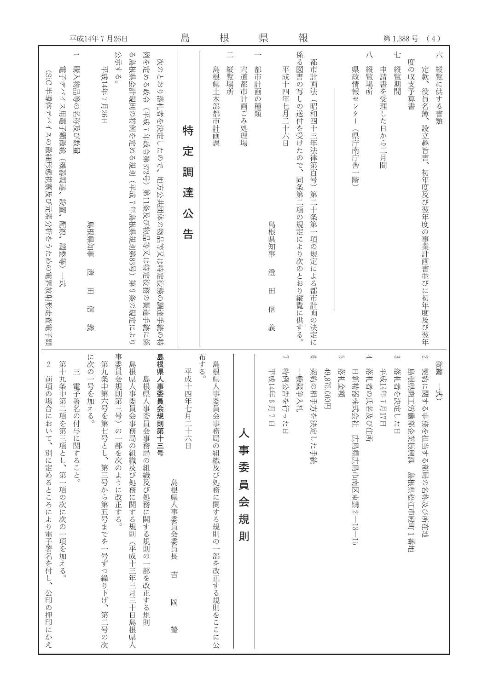| 平成14年7月26日                                                                                                                                                                                                                                                                                                                                                                            | 島                          | 根                                               |                                 | 県                                    |                                       | 報                                                                                           |             |                                            |                             | 第1,388号                       |                                                                         | (4)           |
|---------------------------------------------------------------------------------------------------------------------------------------------------------------------------------------------------------------------------------------------------------------------------------------------------------------------------------------------------------------------------------------|----------------------------|-------------------------------------------------|---------------------------------|--------------------------------------|---------------------------------------|---------------------------------------------------------------------------------------------|-------------|--------------------------------------------|-----------------------------|-------------------------------|-------------------------------------------------------------------------|---------------|
| 例を定める政令<br>公示する。<br>る島根県会計規則の特例を定める規則(平成7年島根県規則第83号)<br>$\overline{\phantom{0}}$<br>次のとおり落札者を決定したので、地方公共団体の物品等又は特定役務の調達手続の特<br>平成14年7月26日<br>購入物品等の名称及び数量<br>電子デバイス用電子顕微鏡<br>(SiC 半導体デバイスの微細形態視察及び元素分析をうための電界放射形走査電子顕<br>(平成7年政令第372号) 第11条及び物品等又は特定役務の調達手続に係<br>(機器調達、<br>設置、<br>配線、<br>島根県知事<br>調整等)<br>遼<br>第9条の規定により<br>斗<br>$\boxplus$<br>$\overline{\mathbb{H}\mathbb{I}}$<br>羨 | 特<br>定<br>調<br>達<br>公<br>告 | 島根県土木部都市計画課<br>縦覧場所                             | 宍道都市計画ごみ処理場                     | 都市計画の種類<br>島根県知事<br>澄<br>田<br>信<br>義 | 平成十四年七月二十六日                           | 係る図書の写しの送付を受けたので、<br>都市計画法<br>(昭和四十三年法律第百号)第二十条第一項の規定による都市計画の決定に<br>同条第二項の規定により次のとおり縦覧に供する。 |             | 県政情報センター<br>(県庁南庁舎一階)                      | 八<br>縦覧場所                   | 七<br>縦覧期間<br>申請書を受理した日から二月間   | 度の収支予算書<br>定款、<br>役員名簿、<br>設立趣旨書、<br>初年度及び翌年度の事業計画書並びに初年度及び翌年           | 六<br>縦覧に供する書類 |
| 事委員会規則第三号)の一部を次のように改正する。<br>島根県人事委員会規則第十三号<br>に次の一号を加える。<br>第九条中第六号を第七号とし、第三号から第五号までを一号ずつ繰り下げ、第二号の次<br>$\sqrt{2}$<br>第十九条中第二項を第三項とし、第一項の次に次の一項を加える。<br>島根県人事委員会事務局の組織及び処務に関する規則(平成十三年三月三十日島根県人<br>三 電子署名の付与に関すること。<br>前項の場合において、別に定めるところにより電子署名を付し、公印の押印にかえ<br>島根県人事委員会事務局の組織及び処務に関する規則の一部を改正する規則<br>島根県人事委員会委員長<br>吉<br>岡<br>瑩                                                       | 平成十四年七月二十六日                | 布する。<br>島根県人事委員会事務局の組織及び処務に関する規則の一部を改正する規則をここに公 | 人<br>事<br>委<br>員<br>会<br>規<br>則 | 平成14年<br>$B T T$                     | $\overline{\phantom{0}}$<br>特例公告を行った日 | 9<br>契約の相手方を決定した手続<br>-般競争入札                                                                | 49,875,000円 | G<br>落札金額<br>日新精器株式会社 広島県広島市南区東雲 2--13--15 | $\rightarrow$<br>落札者の氏名及び住所 | دى<br>落札者を決定した日<br>平成14年7月17日 | $\mathbb{C}$<br>契約に関する事務を担当する部局の名称及び所在地<br>島根県商工労働部企業振興課<br>島根県松江市殿町1番地 | 微鏡<br>나.<br>산 |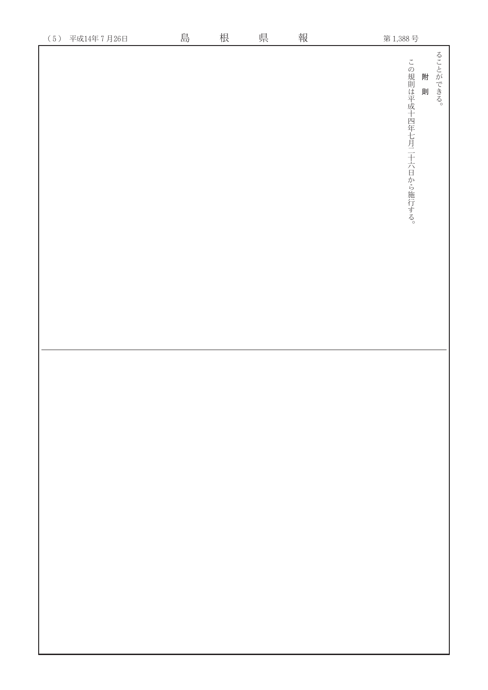| $(5)$<br>平成14年7月26日 | 島 | 根 | 県 | 報 | 第1,388号                                       |
|---------------------|---|---|---|---|-----------------------------------------------|
|                     |   |   |   |   | ることができる。<br>この規則は平成十四年七月二十六日から施行する。<br>附<br>則 |
|                     |   |   |   |   |                                               |